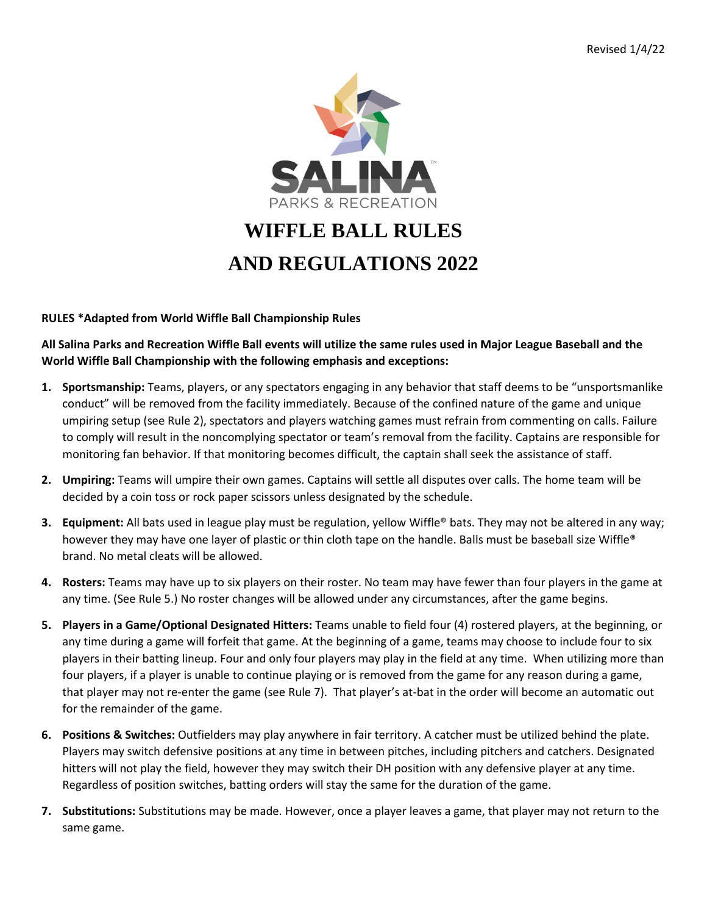

## **RULES \*Adapted from World Wiffle Ball Championship Rules**

**All Salina Parks and Recreation Wiffle Ball events will utilize the same rules used in Major League Baseball and the World Wiffle Ball Championship with the following emphasis and exceptions:**

- **1. Sportsmanship:** Teams, players, or any spectators engaging in any behavior that staff deems to be "unsportsmanlike conduct" will be removed from the facility immediately. Because of the confined nature of the game and unique umpiring setup (see Rule 2), spectators and players watching games must refrain from commenting on calls. Failure to comply will result in the noncomplying spectator or team's removal from the facility. Captains are responsible for monitoring fan behavior. If that monitoring becomes difficult, the captain shall seek the assistance of staff.
- **2. Umpiring:** Teams will umpire their own games. Captains will settle all disputes over calls. The home team will be decided by a coin toss or rock paper scissors unless designated by the schedule.
- **3. Equipment:** All bats used in league play must be regulation, yellow Wiffle® bats. They may not be altered in any way; however they may have one layer of plastic or thin cloth tape on the handle. Balls must be baseball size Wiffle® brand. No metal cleats will be allowed.
- **4. Rosters:** Teams may have up to six players on their roster. No team may have fewer than four players in the game at any time. (See Rule 5.) No roster changes will be allowed under any circumstances, after the game begins.
- **5. Players in a Game/Optional Designated Hitters:** Teams unable to field four (4) rostered players, at the beginning, or any time during a game will forfeit that game. At the beginning of a game, teams may choose to include four to six players in their batting lineup. Four and only four players may play in the field at any time. When utilizing more than four players, if a player is unable to continue playing or is removed from the game for any reason during a game, that player may not re-enter the game (see Rule 7). That player's at-bat in the order will become an automatic out for the remainder of the game.
- **6. Positions & Switches:** Outfielders may play anywhere in fair territory. A catcher must be utilized behind the plate. Players may switch defensive positions at any time in between pitches, including pitchers and catchers. Designated hitters will not play the field, however they may switch their DH position with any defensive player at any time. Regardless of position switches, batting orders will stay the same for the duration of the game.
- **7. Substitutions:** Substitutions may be made. However, once a player leaves a game, that player may not return to the same game.